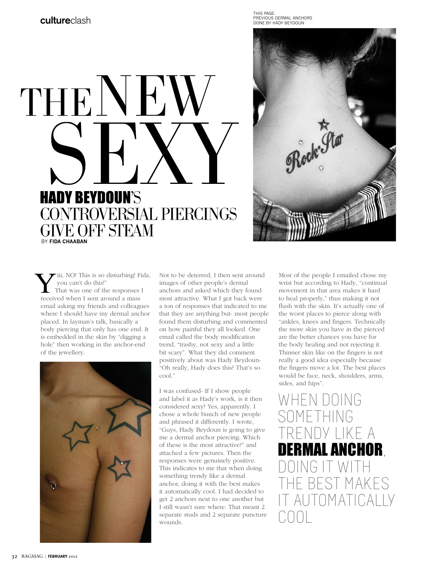THIS PAGE: PREVIOUS DERMAL ANCHORS DONE BY HADY BEYDOUN





 iii, NO! This is so disturbing! Fida, you can't do this!" That was one of the responses I **W** iii, NO! This is so disturbing! Figure 1 you can't do this!"<br>That was one of the responses I received when I sent around a mass email asking my friends and colleagues where I should have my dermal anchor placed. In layman's talk, basically a body piercing that only has one end. It is embedded in the skin by "digging a hole" then working in the anchor-end of the jewellery.



Not to be deterred, I then sent around images of other people's dermal anchors and asked which they found most attractive. What I got back were a ton of responses that indicated to me that they are anything but- most people found them disturbing and commented on how painful they all looked. One email called the body modification trend, "trashy, not sexy and a little bit scary". What they did comment positively about was Hady Beydoun- "Oh really, Hady does this? That's so cool."

I was confused- If I show people and label it as Hady's work, is it then considered sexy? Yes, apparently. I chose a whole bunch of new people and phrased it differently. I wrote, "Guys, Hady Beydoun is going to give me a dermal anchor piercing. Which of these is the most attractive?" and attached a few pictures. Then the responses were genuinely positive. This indicates to me that when doing something trendy like a dermal anchor, doing it with the best makes it automatically cool. I had decided to get 2 anchors next to one another but I still wasn't sure where. That meant 2 separate studs and 2 separate puncture wounds.

Most of the people I emailed chose my wrist but according to Hady, "continual movement in that area makes it hard to heal properly," thus making it not flush with the skin. It's actually one of the worst places to pierce along with "ankles, knees and fingers. Technically the more skin you have in the pierced are the better chances you have for the body healing and not rejecting it. Thinner skin like on the fingers is not really a good idea especially because the fingers move a lot. The best places would be face, neck, shoulders, arms, sides, and hips".

WHEN DOING SOMETHING V I IKF A NAI ANCHOR. FST MAKES IOMATICALLY COOL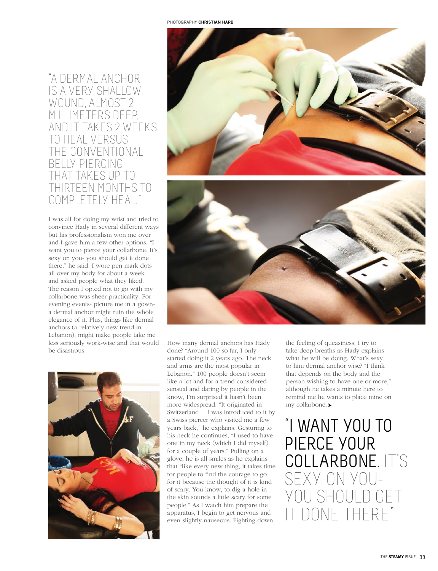## "A DERMAL ANCHOR IS A VERY SHALLOW WOUND, ALMOST 2 MILLIMETERS DEEP, AND IT TAKES 2 WEEKS TO HEAL VERSUS THE CONVENTIONAL BELLY PIERCING THAT TAKES UP TO THIRTEEN MONTHS TO COMPLETELY HEAL."

I was all for doing my wrist and tried to convince Hady in several different ways but his professionalism won me over and I gave him a few other options. "I want you to pierce your collarbone. It's sexy on you- you should get it done there," he said. I wore pen mark dots all over my body for about a week and asked people what they liked. The reason I opted not to go with my collarbone was sheer practicality. For evening events- picture me in a gowna dermal anchor might ruin the whole elegance of it. Plus, things like dermal anchors (a relatively new trend in Lebanon), might make people take me less seriously work-wise and that would be disastrous.





How many dermal anchors has Hady done? "Around 100 so far, I only started doing it 2 years ago. The neck and arms are the most popular in Lebanon." 100 people doesn't seem like a lot and for a trend considered sensual and daring by people in the know, I'm surprised it hasn't been more widespread. "It originated in Switzerland… I was introduced to it by a Swiss piercer who visited me a few years back," he explains. Gesturing to his neck he continues, "I used to have one in my neck (which I did myself) for a couple of years." Pulling on a glove, he is all smiles as he explains that "like every new thing, it takes time for people to find the courage to go for it because the thought of it is kind of scary. You know, to dig a hole in the skin sounds a little scary for some people." As I watch him prepare the apparatus, I begin to get nervous and even slightly nauseous. Fighting down

the feeling of queasiness, I try to take deep breaths as Hady explains what he will be doing. What's sexy to him dermal anchor wise? "I think that depends on the body and the person wishing to have one or more," although he takes a minute here to remind me he wants to place mine on my collarbone.

"I WANT YOU TO PIERCE YOUR COLLARBONE. IT'S SEXY ON YOU-YOU SHOULD GET DONE THERF"